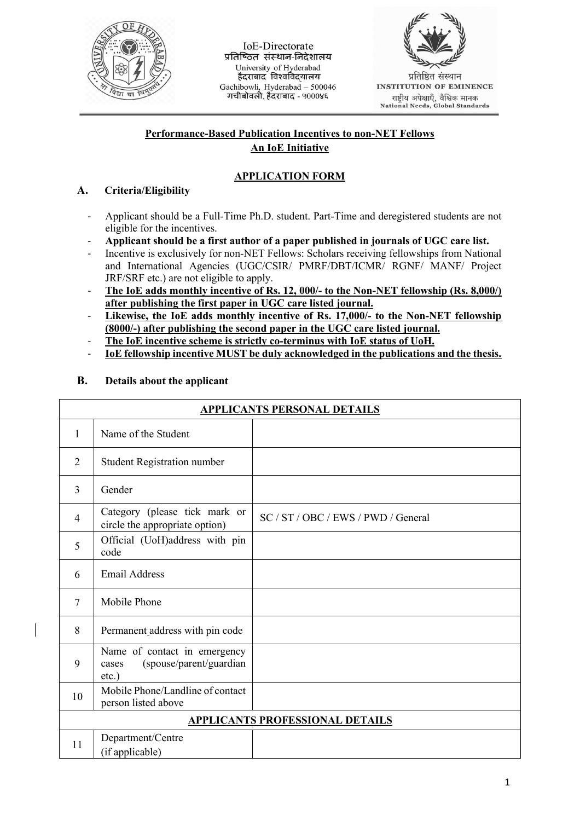

IoE-Directorate प्रतिष्ठित संस्थान-निदेशालय University of Hyderabad हैदराबाद विश्वविदयालय Gachibowli, Hyderabad - 500046 गचीबोवली, हैंदराबाद - ५०००४६



**INSTITUTION OF EMINENCE** राष्ट्रीय अपेक्षाएँ, वैश्विक मानक<br>National Needs, Global Standards

## **Performance-Based Publication Incentives to non-NET Fellows An IoE Initiative**

# **APPLICATION FORM**

## **A. Criteria/Eligibility**

- Applicant should be a Full-Time Ph.D. student. Part-Time and deregistered students are not eligible for the incentives.
- **Applicant should be a first author of a paper published in journals of UGC care list.**
- Incentive is exclusively for non-NET Fellows: Scholars receiving fellowships from National and International Agencies (UGC/CSIR/ PMRF/DBT/ICMR/ RGNF/ MANF/ Project JRF/SRF etc.) are not eligible to apply.
- **The IoE adds monthly incentive of Rs. 12, 000/- to the Non-NET fellowship (Rs. 8,000/) after publishing the first paper in UGC care listed journal.**
- **Likewise, the IoE adds monthly incentive of Rs. 17,000/- to the Non-NET fellowship (8000/-) after publishing the second paper in the UGC care listed journal.**
- **The IoE incentive scheme is strictly co-terminus with IoE status of UoH.**
- **IoE fellowship incentive MUST be duly acknowledged in the publications and the thesis.**

| <b>APPLICANTS PERSONAL DETAILS</b> |                                                                              |                                     |  |  |  |
|------------------------------------|------------------------------------------------------------------------------|-------------------------------------|--|--|--|
| 1                                  | Name of the Student                                                          |                                     |  |  |  |
| $\overline{2}$                     | <b>Student Registration number</b>                                           |                                     |  |  |  |
| 3                                  | Gender                                                                       |                                     |  |  |  |
| $\overline{4}$                     | Category (please tick mark or<br>circle the appropriate option)              | SC / ST / OBC / EWS / PWD / General |  |  |  |
| 5                                  | Official (UoH)address with pin<br>code                                       |                                     |  |  |  |
| 6                                  | <b>Email Address</b>                                                         |                                     |  |  |  |
| $\tau$                             | Mobile Phone                                                                 |                                     |  |  |  |
| 8                                  | Permanent address with pin code                                              |                                     |  |  |  |
| 9                                  | Name of contact in emergency<br>(spouse/parent/guardian<br>cases<br>$etc.$ ) |                                     |  |  |  |
| 10                                 | Mobile Phone/Landline of contact<br>person listed above                      |                                     |  |  |  |
| APPLICANTS PROFESSIONAL DETAILS    |                                                                              |                                     |  |  |  |
| 11                                 | Department/Centre<br>(if applicable)                                         |                                     |  |  |  |

## **B. Details about the applicant**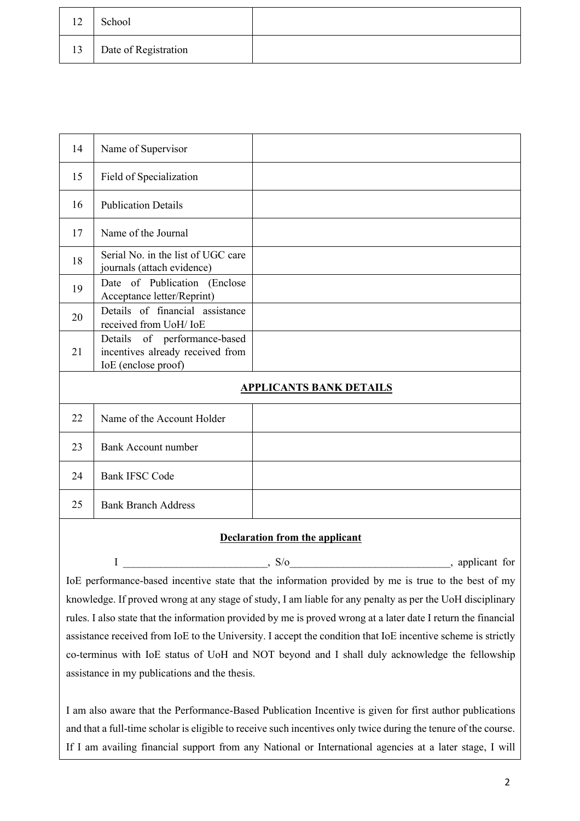| 12 | School               |  |
|----|----------------------|--|
| 13 | Date of Registration |  |

| 14                             | Name of Supervisor                                                                      |  |  |  |
|--------------------------------|-----------------------------------------------------------------------------------------|--|--|--|
| 15                             | Field of Specialization                                                                 |  |  |  |
| 16                             | <b>Publication Details</b>                                                              |  |  |  |
| 17                             | Name of the Journal                                                                     |  |  |  |
| 18                             | Serial No. in the list of UGC care<br>journals (attach evidence)                        |  |  |  |
| 19                             | Date of Publication (Enclose<br>Acceptance letter/Reprint)                              |  |  |  |
| 20                             | Details of financial assistance<br>received from UoH/ IoE                               |  |  |  |
| 21                             | Details of performance-based<br>incentives already received from<br>IoE (enclose proof) |  |  |  |
| <b>APPLICANTS BANK DETAILS</b> |                                                                                         |  |  |  |
| 22                             | Name of the Account Holder                                                              |  |  |  |
| 23                             | <b>Bank Account number</b>                                                              |  |  |  |
| 24                             | <b>Bank IFSC Code</b>                                                                   |  |  |  |
| 25                             | <b>Bank Branch Address</b>                                                              |  |  |  |

#### **Declaration from the applicant**

 I \_\_\_\_\_\_\_\_\_\_\_\_\_\_\_\_\_\_\_\_\_\_\_\_\_\_\_, S/o\_\_\_\_\_\_\_\_\_\_\_\_\_\_\_\_\_\_\_\_\_\_\_\_\_\_\_\_\_\_, applicant for IoE performance-based incentive state that the information provided by me is true to the best of my knowledge. If proved wrong at any stage of study, I am liable for any penalty as per the UoH disciplinary rules. I also state that the information provided by me is proved wrong at a later date I return the financial assistance received from IoE to the University. I accept the condition that IoE incentive scheme is strictly co-terminus with IoE status of UoH and NOT beyond and I shall duly acknowledge the fellowship assistance in my publications and the thesis.

I am also aware that the Performance-Based Publication Incentive is given for first author publications and that a full-time scholar is eligible to receive such incentives only twice during the tenure of the course. If I am availing financial support from any National or International agencies at a later stage, I will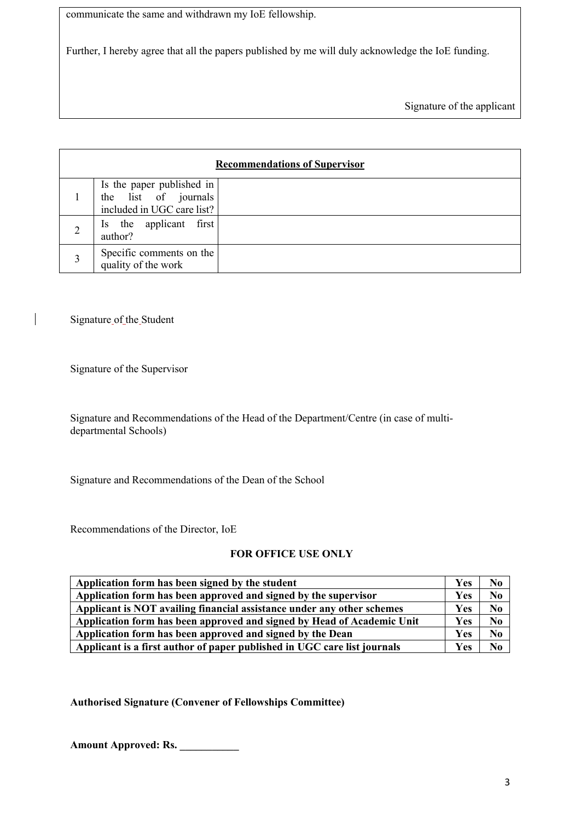communicate the same and withdrawn my IoE fellowship.

Further, I hereby agree that all the papers published by me will duly acknowledge the IoE funding.

Signature of the applicant

| <b>Recommendations of Supervisor</b> |                                                                                 |  |  |  |  |
|--------------------------------------|---------------------------------------------------------------------------------|--|--|--|--|
|                                      | Is the paper published in<br>the list of journals<br>included in UGC care list? |  |  |  |  |
|                                      | Is the applicant first<br>author?                                               |  |  |  |  |
| 3                                    | Specific comments on the<br>quality of the work                                 |  |  |  |  |

Signature of the Student

Signature of the Supervisor

Signature and Recommendations of the Head of the Department/Centre (in case of multidepartmental Schools)

Signature and Recommendations of the Dean of the School

Recommendations of the Director, IoE

## **FOR OFFICE USE ONLY**

| Application form has been signed by the student                          |            |    |
|--------------------------------------------------------------------------|------------|----|
| Application form has been approved and signed by the supervisor          | Yes        | No |
| Applicant is NOT availing financial assistance under any other schemes   |            |    |
| Application form has been approved and signed by Head of Academic Unit   | <b>Yes</b> | No |
| Application form has been approved and signed by the Dean                | Yes        | No |
| Applicant is a first author of paper published in UGC care list journals |            |    |

**Authorised Signature (Convener of Fellowships Committee)**

**Amount Approved: Rs. \_\_\_\_\_\_\_\_\_\_\_**